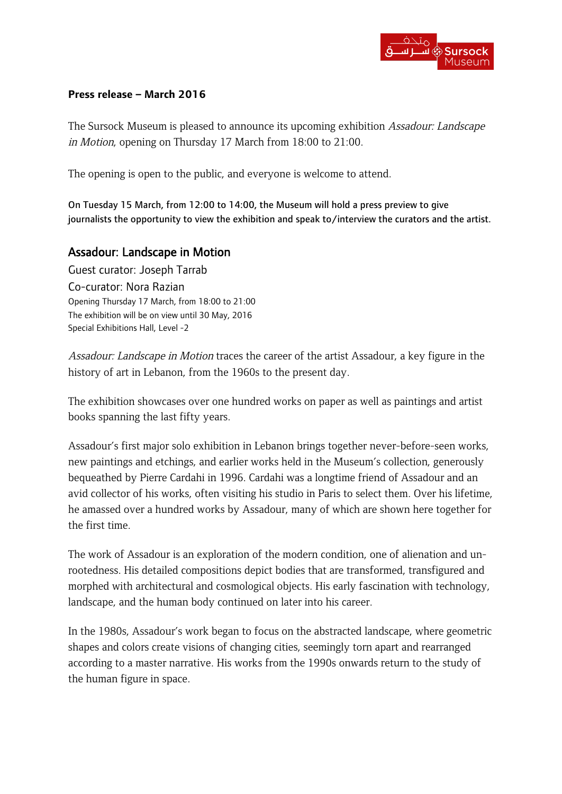#### **Press release – March 2016**

The Sursock Museum is pleased to announce its upcoming exhibition Assadour: Landscape in Motion, opening on Thursday 17 March from 18:00 to 21:00.

The opening is open to the public, and everyone is welcome to attend.

On Tuesday 15 March, from 12:00 to 14:00, the Museum will hold a press preview to give journalists the opportunity to view the exhibition and speak to/interview the curators and the artist.

# Assadour: Landscape in Motion

Guest curator: Joseph Tarrab Co-curator: Nora Razian Opening Thursday 17 March, from 18:00 to 21:00 The exhibition will be on view until 30 May, 2016 Special Exhibitions Hall, Level -2

Assadour: Landscape in Motion traces the career of the artist Assadour, a key figure in the history of art in Lebanon, from the 1960s to the present day.

The exhibition showcases over one hundred works on paper as well as paintings and artist books spanning the last fifty years.

Assadour's first major solo exhibition in Lebanon brings together never-before-seen works, new paintings and etchings, and earlier works held in the Museum's collection, generously bequeathed by Pierre Cardahi in 1996. Cardahi was a longtime friend of Assadour and an avid collector of his works, often visiting his studio in Paris to select them. Over his lifetime, he amassed over a hundred works by Assadour, many of which are shown here together for the first time.

The work of Assadour is an exploration of the modern condition, one of alienation and unrootedness. His detailed compositions depict bodies that are transformed, transfigured and morphed with architectural and cosmological objects. His early fascination with technology, landscape, and the human body continued on later into his career.

In the 1980s, Assadour's work began to focus on the abstracted landscape, where geometric shapes and colors create visions of changing cities, seemingly torn apart and rearranged according to a master narrative. His works from the 1990s onwards return to the study of the human figure in space.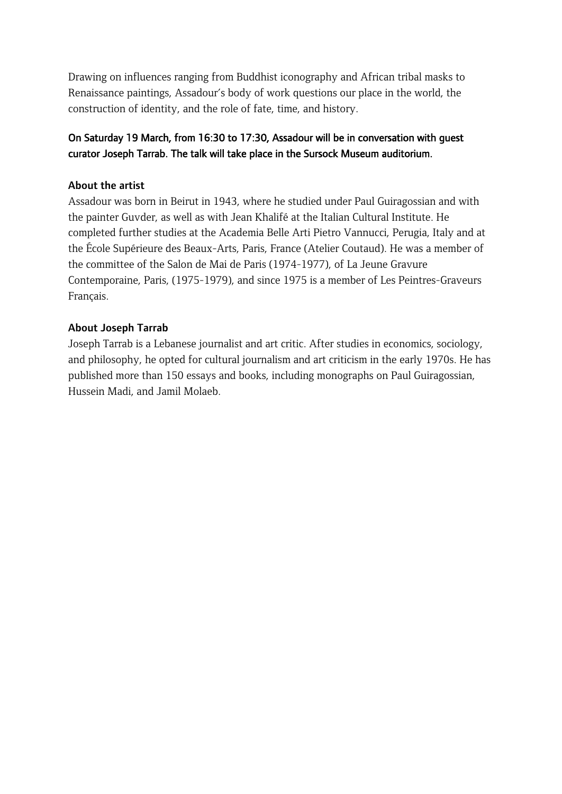Drawing on influences ranging from Buddhist iconography and African tribal masks to Renaissance paintings, Assadour's body of work questions our place in the world, the construction of identity, and the role of fate, time, and history.

## On Saturday 19 March, from 16:30 to 17:30, Assadour will be in conversation with guest curator Joseph Tarrab. The talk will take place in the Sursock Museum auditorium.

## About the artist

Assadour was born in Beirut in 1943, where he studied under Paul Guiragossian and with the painter Guvder, as well as with Jean Khalifé at the Italian Cultural Institute. He completed further studies at the Academia Belle Arti Pietro Vannucci, Perugia, Italy and at the École Supérieure des Beaux-Arts, Paris, France (Atelier Coutaud). He was a member of the committee of the Salon de Mai de Paris (1974-1977), of La Jeune Gravure Contemporaine, Paris, (1975-1979), and since 1975 is a member of Les Peintres-Graveurs Français.

## About Joseph Tarrab

Joseph Tarrab is a Lebanese journalist and art critic. After studies in economics, sociology, and philosophy, he opted for cultural journalism and art criticism in the early 1970s. He has published more than 150 essays and books, including monographs on Paul Guiragossian, Hussein Madi, and Jamil Molaeb.